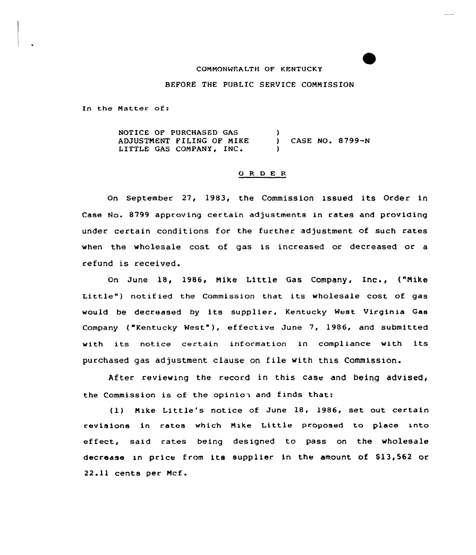#### COMMONWEALTH OF KENTUCKY

### BEFORE THE PUBLIC SERVICE COMMISSION

In the Matter of:

NOTICE OF PURCHASED GAS  $\lambda$ ADJUSTNENT FILING QF MIKE ADJUSTMENT FILING OF MIKE ) CASE NO. 8799-N<br>LITTLE GAS COMPANY, INC. ) )

## 0 R <sup>D</sup> E <sup>R</sup>

On september 27, 1983, the Commission issued its Order in Case No. 8799 approving certain adjustments in rates and providing under certain conditions for the further adjustment of such rates when the wholesale cost of gas is increased or decreased or a refund is received.

On June 18, 1986, Mike Little Gas Company, Inc., ("Mike Little") notified the Commission that its wholesale cost of gas would be decreased by its supplier, Kentucky West Virginia Gas Company ("Kentucky West" ), effective June 7, 1986, and submitted with its notice certain information in compliance with its purchased gas adjustment clause on file with this Commission.

After reviewing the record in this case and being advised, the Commission is of the opinion and finds that:

(1) Mike Little's notice of June 18, 1986, set out certain revisions in rates which Mike Little proposed to place into effect, said rates being designed to pass on the wholesale decrease in price from its supplier in the amount of \$13,562 or 22.11 cents per Mcf.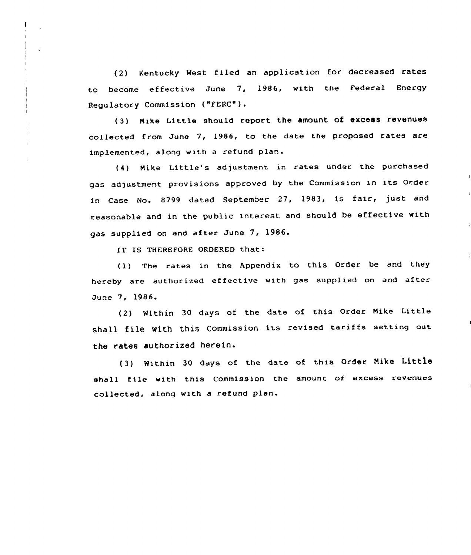(2) Kentucky West filed an application for decreased rates to become effective June 7, 1986, with the Federal Energy Regulatory Commission ("FERC").

(3) Nike Little should report the amount of excess revenues collected from June 7, 1986, to the date the proposed rates are implemented, along with a refund plan.

(4) Nike Little's adjustment in rates under the purchased gas adjustment provisions approved by the Commission in its Order in Case No. 8799 dated September 27, 1983, is fair, just and reasonable and in the public interest and should be effective with gas supplied on and after June 7, 1986.

IT IS THEREFORE ORDERED that:

(1) The rates in the Appendix to this Order be and they hereby are authorized effective with gas supplied on and after June 7, 1986.

(2) Within <sup>30</sup> days of the date of this Order Nike little shall file with this Commission its revised tariffs setting out the rates authorized herein.

(3) Within <sup>30</sup> days of the date of this Order Nike Little sha11 file with this Commission the amount of excess revenues collected, along with a refund plan.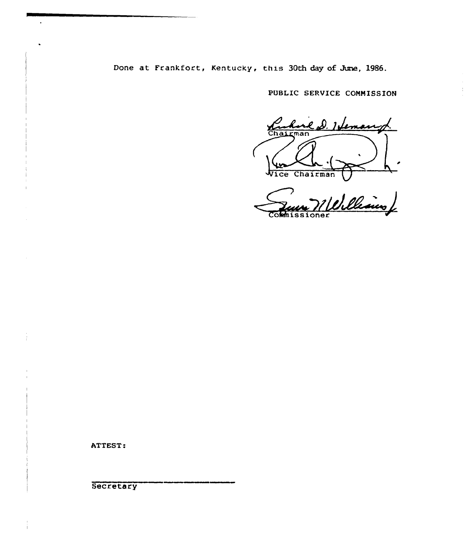Done at Frankfort, Kentucky, this 30th day of June, 1986.

PUBLIC SERUICE COMMISSION

 $\mathcal{I}$ 

e D. Heman  $\frac{\sqrt{2}}{\text{Chag}}$  $\overline{\mathsf{man}}$ 

Vice Chairman Commissione

ATTEST.

**Secretary**